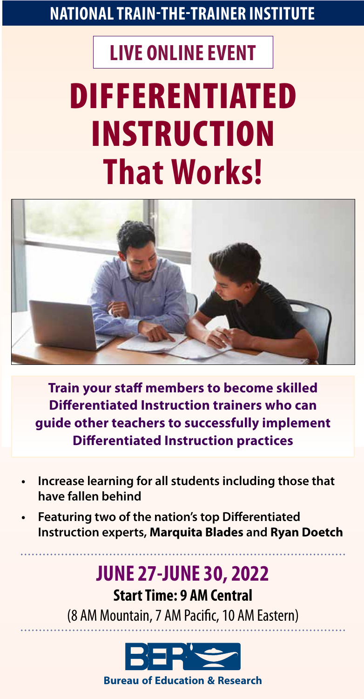# **NATIONAL TRAIN-THE-TRAINER INSTITUTE**

# **LIVE ONLINE EVENT**

# DIFFERENTIATED INSTRUCTION **That Works!**



**Train your staff members to become skilled Differentiated Instruction trainers who can guide other teachers to successfully implement Differentiated Instruction practices** 

- **• Increase learning for all students including those that have fallen behind**
- **Featuring two of the nation's top Differentiated Instruction experts, Marquita Blades and Ryan Doetch**

# **JUNE 27-JUNE 30, 2022**

**Start Time: 9 AM Central** (8 AM Mountain, 7 AM Pacific, 10 AM Eastern)



**1-800-735-350-450-8503-450-453-450-453-453-453-453-453-453-453-1134 information, or to register, please contact u**<br>1-425-453-1134 **For more information, please contact use** contact use contact use of the contact use of th **Bureau of Education & Research**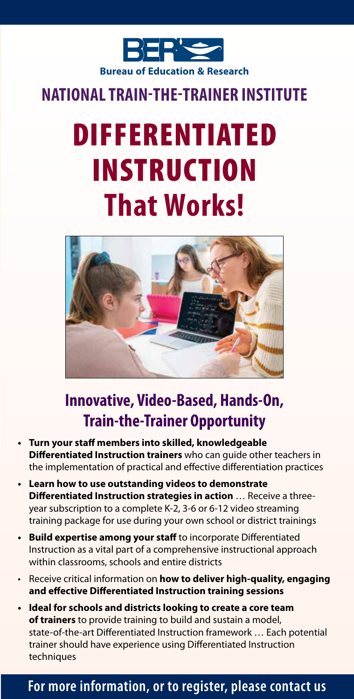

# **NATIONAL TRAIN-THE-TRAINER INSTITUTE**

# DIFFERENTIATED INSTRUCTION **That Works!**



# **Innovative, Video-Based, Hands-On, Train-the-Trainer Opportunity**

- **•** Turn your staff members into skilled, knowledgeable **Differentiated Instruction trainers** who can guide other teachers in the implementation of practical and effective differentiation practices
- **• Learn how to use outstanding videos to demonstrate Differentiated Instruction strategies in action** ... Receive a threeyear subscription to a complete K-2, 3-6 or 6-12 video streaming training package for use during your own school or district trainings
- Build expertise among your staff to incorporate Differentiated Instruction as a vital part of a comprehensive instructional approach within classrooms, schools and entire districts
- Receive critical information on **how to deliver high-quality, engaging**  and effective Differentiated Instruction training sessions
- **• Ideal for schools and districts looking to create a core team of trainers** to provide training to build and sustain a model, state-of-the-art Differentiated Instruction framework ... Each potential trainer should have experience using Differentiated Instruction techniques

### For more information, or to register, please contact us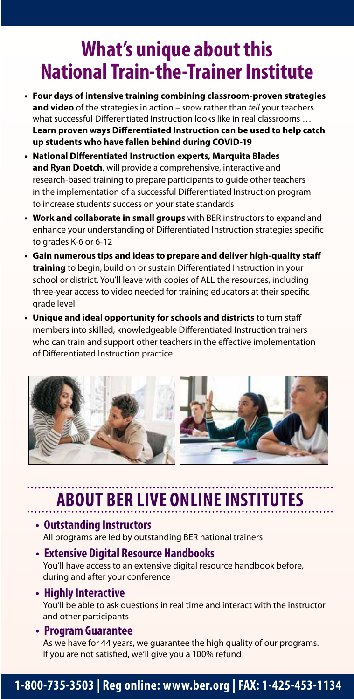# **What's unique about this National Train-the-Trainer Institute**

- **• Four days of intensive training combining classroom-proven strategies and video** of the strategies in action – *show* rather than *tell* your teachers what successful Differentiated Instruction looks like in real classrooms ... Learn proven ways Differentiated Instruction can be used to help catch **up students who have fallen behind during COVID-19**
- **•** National Differentiated Instruction experts, Marquita Blades **and Ryan Doetch**, will provide a comprehensive, interactive and research-based training to prepare participants to guide other teachers in the implementation of a successful Differentiated Instruction program to increase students' success on your state standards
- **• Work and collaborate in small groups** with BER instructors to expand and enhance your understanding of Differentiated Instruction strategies specific to grades K-6 or 6-12
- **•** Gain numerous tips and ideas to prepare and deliver high-quality staff training to begin, build on or sustain Differentiated Instruction in your school or district. You'll leave with copies of ALL the resources, including three-year access to video needed for training educators at their specific grade level
- **• Unique and ideal opportunity for schools and districts** to turn sta members into skilled, knowledgeable Differentiated Instruction trainers who can train and support other teachers in the effective implementation of Differentiated Instruction practice



# **ABOUT BER LIVE ONLINE INSTITUTES**

#### **• Outstanding Instructors** All programs are led by outstanding BER national trainers

**• Extensive Digital Resource Handbooks** You'll have access to an extensive digital resource handbook before, during and after your conference

#### **• Highly Interactive**

You'll be able to ask questions in real time and interact with the instructor and other participants

#### **• Program Guarantee**

As we have for 44 years, we guarantee the high quality of our programs. If you are not satisfied, we'll give you a 100% refund

### **1-800-735-3503 | Reg online: www.ber.org | FAX: 1-425-453-1134 For more information, or to register, please contact us**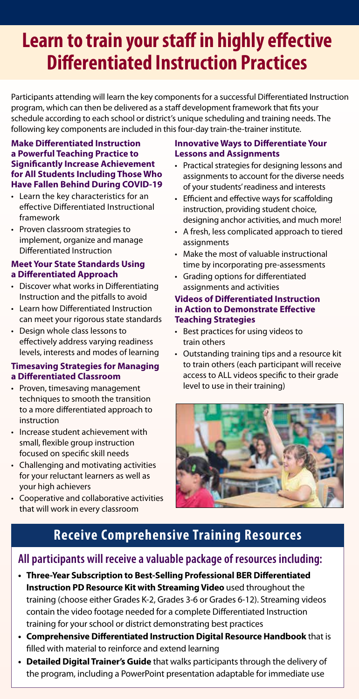# **Learn to train your staff in highly effective Differentiated Instruction Practices**

Participants attending will learn the key components for a successful Differentiated Instruction program, which can then be delivered as a staff development framework that fits your schedule according to each school or district's unique scheduling and training needs. The following key components are included in this four-day train-the-trainer institute.

#### **Make Differentiated Instruction a Powerful Teaching Practice to Significantly Increase Achievement for All Students Including Those Who Have Fallen Behind During COVID-19**

- Learn the key characteristics for an effective Differentiated Instructional framework
- Proven classroom strategies to implement, organize and manage Differentiated Instruction

#### **Meet Your State Standards Using a Differentiated Approach**

- Discover what works in Differentiating Instruction and the pitfalls to avoid
- Learn how Differentiated Instruction can meet your rigorous state standards
- Design whole class lessons to effectively address varying readiness levels, interests and modes of learning

#### **Timesaving Strategies for Managing a Differentiated Classroom**

- Proven, timesaving management techniques to smooth the transition to a more differentiated approach to instruction
- Increase student achievement with small, flexible group instruction focused on specific skill needs
- Challenging and motivating activities for your reluctant learners as well as your high achievers
- Cooperative and collaborative activities that will work in every classroom

#### **Innovative Ways to Differentiate Your Lessons and Assignments**

- Practical strategies for designing lessons and assignments to account for the diverse needs of your students' readiness and interests
- Efficient and effective ways for scaffolding instruction, providing student choice, designing anchor activities, and much more!
- A fresh, less complicated approach to tiered assignments
- Make the most of valuable instructional time by incorporating pre-assessments
- Grading options for differentiated assignments and activities

#### **Videos of Differentiated Instruction in Action to Demonstrate Effective Teaching Strategies**

- Best practices for using videos to train others
- Outstanding training tips and a resource kit to train others (each participant will receive access to ALL videos specific to their grade level to use in their training)



# **Receive Comprehensive Training Resources**

#### **All participants will receive a valuable package of resources including:**

- Three-Year Subscription to Best-Selling Professional BER Differentiated **Instruction PD Resource Kit with Streaming Video** used throughout the training (choose either Grades K-2, Grades 3-6 or Grades 6-12). Streaming videos contain the video footage needed for a complete Differentiated Instruction training for your school or district demonstrating best practices
- Comprehensive Differentiated Instruction Digital Resource Handbook that is filled with material to reinforce and extend learning
- **• Detailed Digital Trainer's Guide** that walks participants through the delivery of the program, including a PowerPoint presentation adaptable for immediate use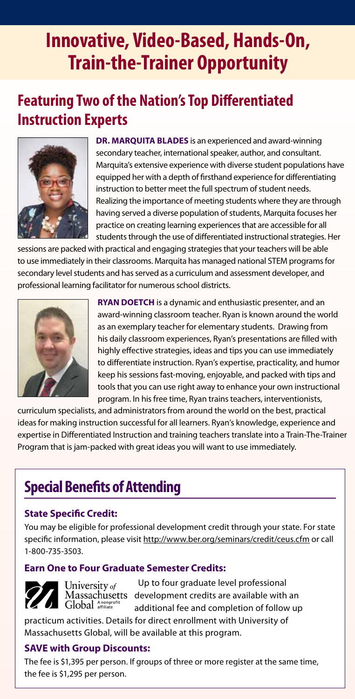# **Innovative, Video-Based, Hands-On, Train-the-Trainer Opportunity**

# **Featuring Two of the Nation's Top Differentiated Instruction Experts**



**DR. MARQUITA BLADES** is an experienced and award-winning secondary teacher, international speaker, author, and consultant. Marquita's extensive experience with diverse student populations have equipped her with a depth of firsthand experience for differentiating instruction to better meet the full spectrum of student needs. Realizing the importance of meeting students where they are through having served a diverse population of students, Marquita focuses her practice on creating learning experiences that are accessible for all students through the use of differentiated instructional strategies. Her

sessions are packed with practical and engaging strategies that your teachers will be able to use immediately in their classrooms. Marquita has managed national STEM programs for secondary level students and has served as a curriculum and assessment developer, and professional learning facilitator for numerous school districts.



**RYAN DOETCH** is a dynamic and enthusiastic presenter, and an award-winning classroom teacher. Ryan is known around the world as an exemplary teacher for elementary students. Drawing from his daily classroom experiences, Ryan's presentations are filled with highly effective strategies, ideas and tips you can use immediately to differentiate instruction. Ryan's expertise, practicality, and humor keep his sessions fast-moving, enjoyable, and packed with tips and tools that you can use right away to enhance your own instructional program. In his free time, Ryan trains teachers, interventionists,

curriculum specialists, and administrators from around the world on the best, practical ideas for making instruction successful for all learners. Ryan's knowledge, experience and expertise in Differentiated Instruction and training teachers translate into a Train-The-Trainer Program that is jam-packed with great ideas you will want to use immediately.

# **Special Benefits of Attending**

#### **State Specific Credit:**

You may be eligible for professional development credit through your state. For state specific information, please visit http://www.ber.org/seminars/credit/ceus.cfm or call 1-800-735-3503.

#### **Earn One to Four Graduate Semester Credits:**

University of Massachusetts Global Anonprofit

Up to four graduate level professional development credits are available with an additional fee and completion of follow up

practicum activities. Details for direct enrollment with University of Massachusetts Global, will be available at this program.

#### **SAVE with Group Discounts:**

The fee is \$1,395 per person. If groups of three or more register at the same time, the fee is \$1,295 per person.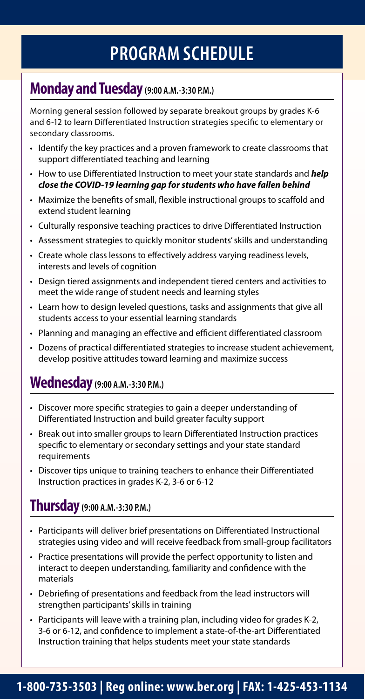# **PROGRAM SCHEDULE**

## **Monday and Tuesday(9:00 A.M.-3:30 P.M.)**

Morning general session followed by separate breakout groups by grades K-6 and 6-12 to learn Differentiated Instruction strategies specific to elementary or secondary classrooms.

- Identify the key practices and a proven framework to create classrooms that support differentiated teaching and learning
- How to use Differentiated Instruction to meet your state standards and *help close the COVID-19 learning gap for students who have fallen behind*
- Maximize the benefits of small, flexible instructional groups to scaffold and extend student learning
- Culturally responsive teaching practices to drive Differentiated Instruction
- Assessment strategies to quickly monitor students' skills and understanding
- Create whole class lessons to effectively address varying readiness levels, interests and levels of cognition
- Design tiered assignments and independent tiered centers and activities to meet the wide range of student needs and learning styles
- Learn how to design leveled questions, tasks and assignments that give all students access to your essential learning standards
- Planning and managing an effective and efficient differentiated classroom
- Dozens of practical differentiated strategies to increase student achievement, develop positive attitudes toward learning and maximize success

# **Wednesday(9:00 A.M.-3:30 P.M.)**

- Discover more specific strategies to gain a deeper understanding of Differentiated Instruction and build greater faculty support
- Break out into smaller groups to learn Differentiated Instruction practices specific to elementary or secondary settings and your state standard requirements
- Discover tips unique to training teachers to enhance their Differentiated Instruction practices in grades K-2, 3-6 or 6-12

### **Thursday(9:00 A.M.-3:30 P.M.)**

- Participants will deliver brief presentations on Differentiated Instructional strategies using video and will receive feedback from small-group facilitators
- Practice presentations will provide the perfect opportunity to listen and interact to deepen understanding, familiarity and confidence with the materials
- Debriefing of presentations and feedback from the lead instructors will strengthen participants' skills in training
- Participants will leave with a training plan, including video for grades K-2, 3-6 or 6-12, and confidence to implement a state-of-the-art Differentiated Instruction training that helps students meet your state standards

### **1-800-735-3503 | Reg online: www.ber.org | FAX: 1-425-453-1134**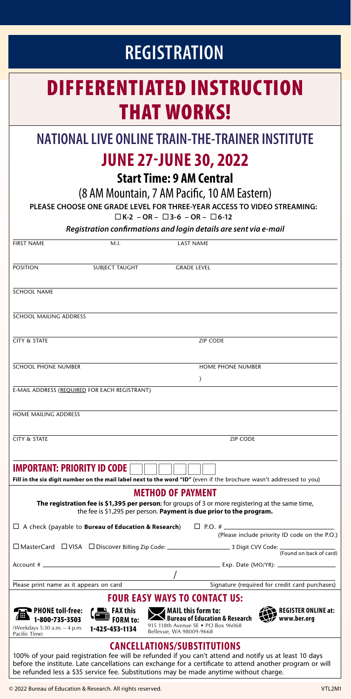# FIRST NAME M.I. M.I. LAST NAME **POSITION SUBJECT TAUGHT GRADE LEVEL** SCHOOL NAME SCHOOL MAILING ADDRESS **CITY & STATE ZIP CODE** SCHOOL PHONE NUMBER HOME PHONE NUMBER  $\lambda$ E-MAIL ADDRESS (REQUIRED FOR EACH REGISTRANT) HOME MAILING ADDRESS **CITY & STATE ZIP CODE IMPORTANT: PRIORITY ID CODE Fill in the six digit number on the mail label next to the word "ID"** (even if the brochure wasn't addressed to you) **REGISTRATION NATIONAL LIVE ONLINE TRAIN-THE-TRAINER INSTITUTE JUNE 27-JUNE 30, 2022 Start Time: 9 AM Central** (8 AM Mountain, 7 AM Pacific, 10 AM Eastern) **PLEASE CHOOSE ONE GRADE LEVEL FOR THREE-YEAR ACCESS TO VIDEO STREAMING: K-2 – OR – 3-6 – OR – 6-12** *Registration conrmations and login details are sent via e-mail* DIFFERENTIATED INSTRUCTION THAT WORKS!

#### **METHOD OF PAYMENT**

**The registration fee is \$1,395 per person**; for groups of 3 or more registering at the same time, the fee is \$1,295 per person. **Payment is due prior to the program.**

□ A check (payable to **Bureau of Education & Research**) □ P.O. # (Please include priority ID code on the P.O.) (Found on back of card) 3 Digit CVV Code:<br>(Found on back of card)  $\square$  MasterCard  $\square$  VISA  $\square$  Discover Billing Zip Code:  $\square$ Account # Exp. Date (MO/YR): / Please print name as it appears on card Signature (required for credit card purchases) **FOUR EASY WAYS TO CONTACT US: FAX this**<br>■ FAX this **PHONE toll-free: 1-800-735-3503 MAIL this form to: Bureau of Education & Research REGISTER ONLINE at:** <u>(=</u> **FORM to: www.ber.org** 915 118th Avenue SE • PO Box 96068 (Weekdays 5:30 a.m. – 4 p.m. **1-425-453-1134** Bellevue, WA 98009-9668 Pacific Time)

#### **CANCELLATIONS/SUBSTITUTIONS**

100% of your paid registration fee will be refunded if you can't attend and notify us at least 10 days before the institute. Late cancellations can exchange for a certificate to attend another program or will be refunded less a \$35 service fee. Substitutions may be made anytime without charge.

© 2022 Bureau of Education & Research. All rights reserved. VTL2M1